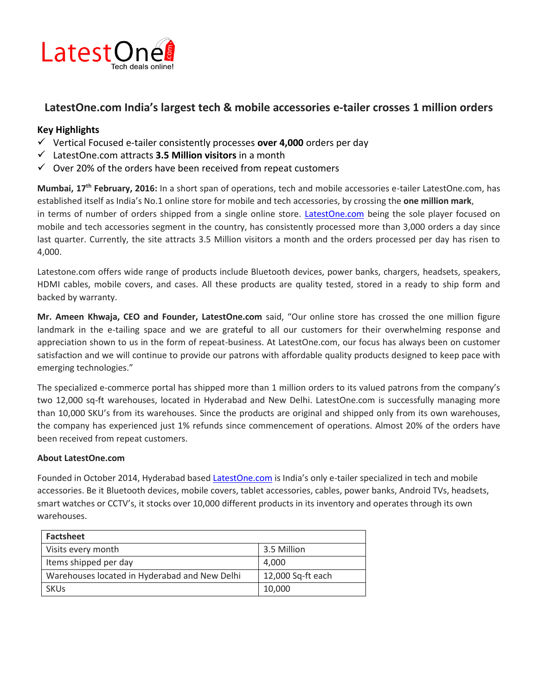

## **LatestOne.com India's largest tech & mobile accessories e-tailer crosses 1 million orders**

## **Key Highlights**

- Vertical Focused e-tailer consistently processes **over 4,000** orders per day
- LatestOne.com attracts **3.5 Million visitors** in a month
- $\checkmark$  Over 20% of the orders have been received from repeat customers

**Mumbai, 17th February, 2016:** In a short span of operations, tech and mobile accessories e-tailer LatestOne.com, has established itself as India's No.1 online store for mobile and tech accessories, by crossing the **one million mark**, in terms of number of orders shipped from a single online store. [LatestOne.com](http://www.latestone.com/) being the sole player focused on mobile and tech accessories segment in the country, has consistently processed more than 3,000 orders a day since last quarter. Currently, the site attracts 3.5 Million visitors a month and the orders processed per day has risen to 4,000.

Latestone.com offers wide range of products include Bluetooth devices, power banks, chargers, headsets, speakers, HDMI cables, mobile covers, and cases. All these products are quality tested, stored in a ready to ship form and backed by warranty.

**Mr. Ameen Khwaja, CEO and Founder, LatestOne.com** said, "Our online store has crossed the one million figure landmark in the e-tailing space and we are grateful to all our customers for their overwhelming response and appreciation shown to us in the form of repeat-business. At LatestOne.com, our focus has always been on customer satisfaction and we will continue to provide our patrons with affordable quality products designed to keep pace with emerging technologies."

The specialized e-commerce portal has shipped more than 1 million orders to its valued patrons from the company's two 12,000 sq-ft warehouses, located in Hyderabad and New Delhi. LatestOne.com is successfully managing more than 10,000 SKU's from its warehouses. Since the products are original and shipped only from its own warehouses, the company has experienced just 1% refunds since commencement of operations. Almost 20% of the orders have been received from repeat customers.

## **About LatestOne.com**

Founded in October 2014, Hyderabad based [LatestOne.com](http://www.latestone.com/) is India's only e-tailer specialized in tech and mobile accessories. Be it Bluetooth devices, mobile covers, tablet accessories, cables, power banks, Android TVs, headsets, smart watches or CCTV's, it stocks over 10,000 different products in its inventory and operates through its own warehouses.

| <b>Factsheet</b>                              |                   |
|-----------------------------------------------|-------------------|
| Visits every month                            | 3.5 Million       |
| Items shipped per day                         | 4.000             |
| Warehouses located in Hyderabad and New Delhi | 12,000 Sq-ft each |
| <b>SKUs</b>                                   | 10,000            |